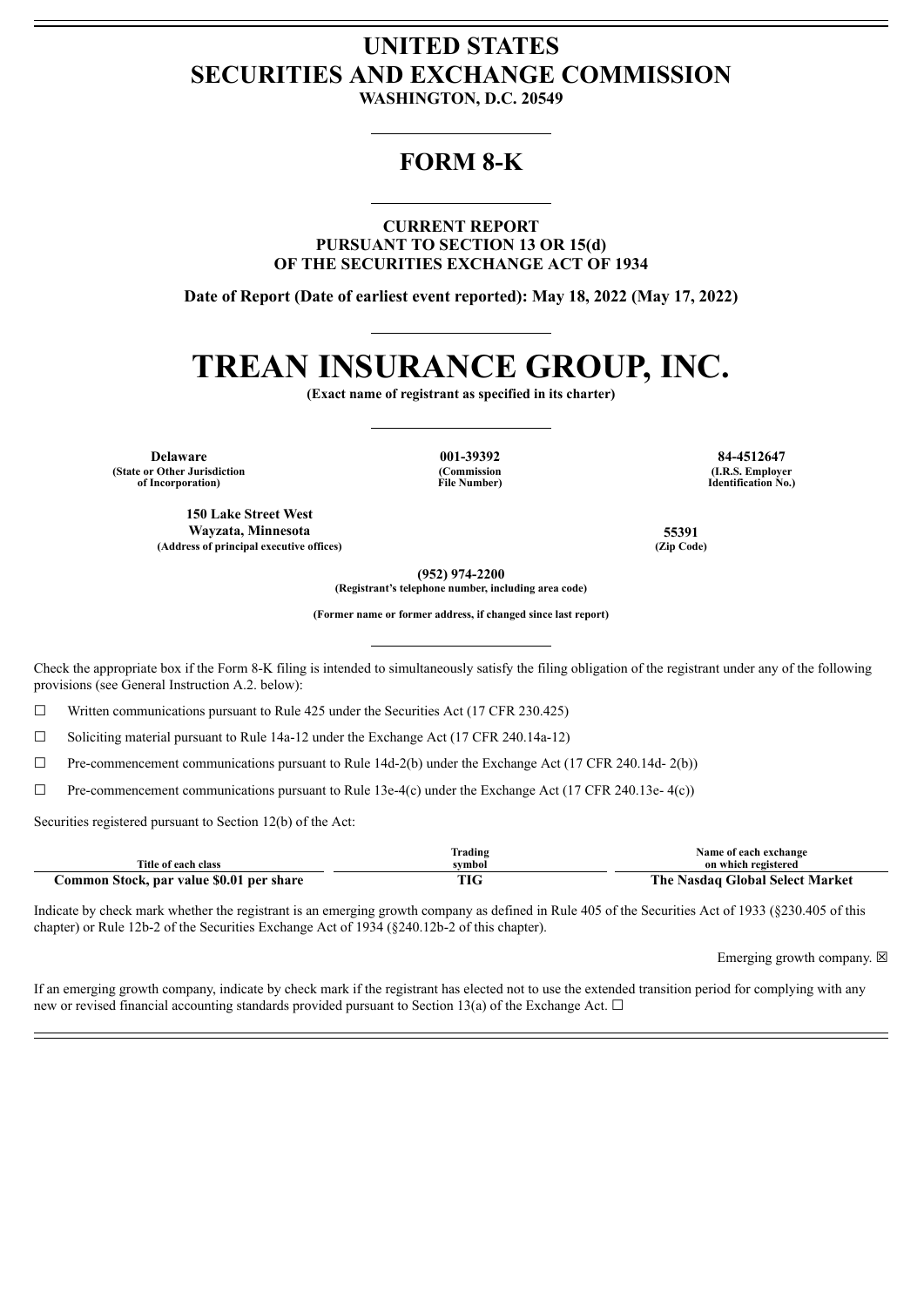## **UNITED STATES SECURITIES AND EXCHANGE COMMISSION**

**WASHINGTON, D.C. 20549**

### **FORM 8-K**

**CURRENT REPORT PURSUANT TO SECTION 13 OR 15(d) OF THE SECURITIES EXCHANGE ACT OF 1934**

**Date of Report (Date of earliest event reported): May 18, 2022 (May 17, 2022)**

# **TREAN INSURANCE GROUP, INC.**

**(Exact name of registrant as specified in its charter)**

**Delaware 001-39392 84-4512647 (State or Other Jurisdiction of Incorporation)**

**150 Lake Street West**

**(Commission File Number)**

**(I.R.S. Employer Identification No.)**

**Wayzata, Minnesota 55391 (Address of principal executive offices) (Zip Code)**

**(952) 974-2200**

**(Registrant's telephone number, including area code)**

**(Former name or former address, if changed since last report)**

Check the appropriate box if the Form 8-K filing is intended to simultaneously satisfy the filing obligation of the registrant under any of the following provisions (see General Instruction A.2. below):

 $\Box$  Written communications pursuant to Rule 425 under the Securities Act (17 CFR 230.425)

☐ Soliciting material pursuant to Rule 14a-12 under the Exchange Act (17 CFR 240.14a-12)

 $\Box$  Pre-commencement communications pursuant to Rule 14d-2(b) under the Exchange Act (17 CFR 240.14d- 2(b))

☐ Pre-commencement communications pursuant to Rule 13e-4(c) under the Exchange Act (17 CFR 240.13e- 4(c))

Securities registered pursuant to Section 12(b) of the Act:

|                                               | Trading | Name of each exchange                              |
|-----------------------------------------------|---------|----------------------------------------------------|
| Title of each class                           | svmbol  | on which registered                                |
| i Stock, par value \$0.01 per share<br>.ommon | 1 I U   | The .<br><b>Global Select Market</b><br>∴ Nasdaa ' |

Indicate by check mark whether the registrant is an emerging growth company as defined in Rule 405 of the Securities Act of 1933 (§230.405 of this chapter) or Rule 12b-2 of the Securities Exchange Act of 1934 (§240.12b-2 of this chapter).

Emerging growth company.  $\boxtimes$ 

If an emerging growth company, indicate by check mark if the registrant has elected not to use the extended transition period for complying with any new or revised financial accounting standards provided pursuant to Section 13(a) of the Exchange Act.  $\Box$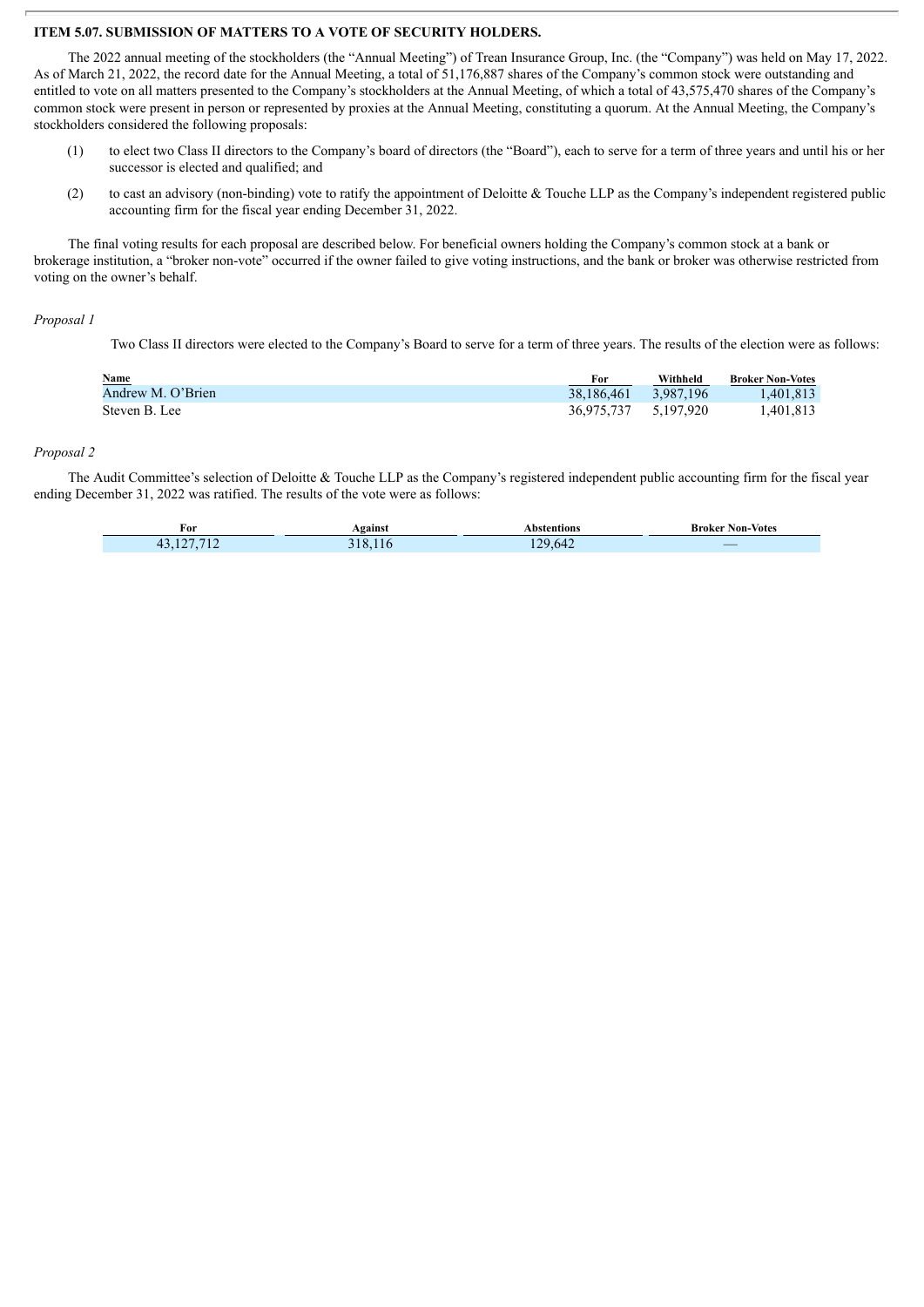#### **ITEM 5.07. SUBMISSION OF MATTERS TO A VOTE OF SECURITY HOLDERS.**

The 2022 annual meeting of the stockholders (the "Annual Meeting") of Trean Insurance Group, Inc. (the "Company") was held on May 17, 2022. As of March 21, 2022, the record date for the Annual Meeting, a total of 51,176,887 shares of the Company's common stock were outstanding and entitled to vote on all matters presented to the Company's stockholders at the Annual Meeting, of which a total of 43,575,470 shares of the Company's common stock were present in person or represented by proxies at the Annual Meeting, constituting a quorum. At the Annual Meeting, the Company's stockholders considered the following proposals:

- (1) to elect two Class II directors to the Company's board of directors (the "Board"), each to serve for a term of three years and until his or her successor is elected and qualified; and
- (2) to cast an advisory (non-binding) vote to ratify the appointment of Deloitte & Touche LLP as the Company's independent registered public accounting firm for the fiscal year ending December 31, 2022.

The final voting results for each proposal are described below. For beneficial owners holding the Company's common stock at a bank or brokerage institution, a "broker non-vote" occurred if the owner failed to give voting instructions, and the bank or broker was otherwise restricted from voting on the owner's behalf.

#### *Proposal 1*

Two Class II directors were elected to the Company's Board to serve for a term of three years. The results of the election were as follows:

| Name              | For                  | Withheld  | <b>Broker Non-Votes</b> |
|-------------------|----------------------|-----------|-------------------------|
| Andrew M. O'Brien | 38.186.461           | 3.987.196 | 1.401.813               |
| Steven B. Lee     | 36.975.737 5.197.920 |           | 1.401.813               |

#### *Proposal 2*

The Audit Committee's selection of Deloitte & Touche LLP as the Company's registered independent public accounting firm for the fiscal year ending December 31, 2022 was ratified. The results of the vote were as follows:

| For     | eainst | bstentions ا | Broker Non-Votes                                                                                                      |
|---------|--------|--------------|-----------------------------------------------------------------------------------------------------------------------|
| 107.710 | 10     | 29.642       | $\overline{\phantom{a}}$                                                                                              |
| --      | 1 X    |              | <b>Contract Contract Contract Contract Contract Contract Contract Contract Contract Contract Contract Contract Co</b> |